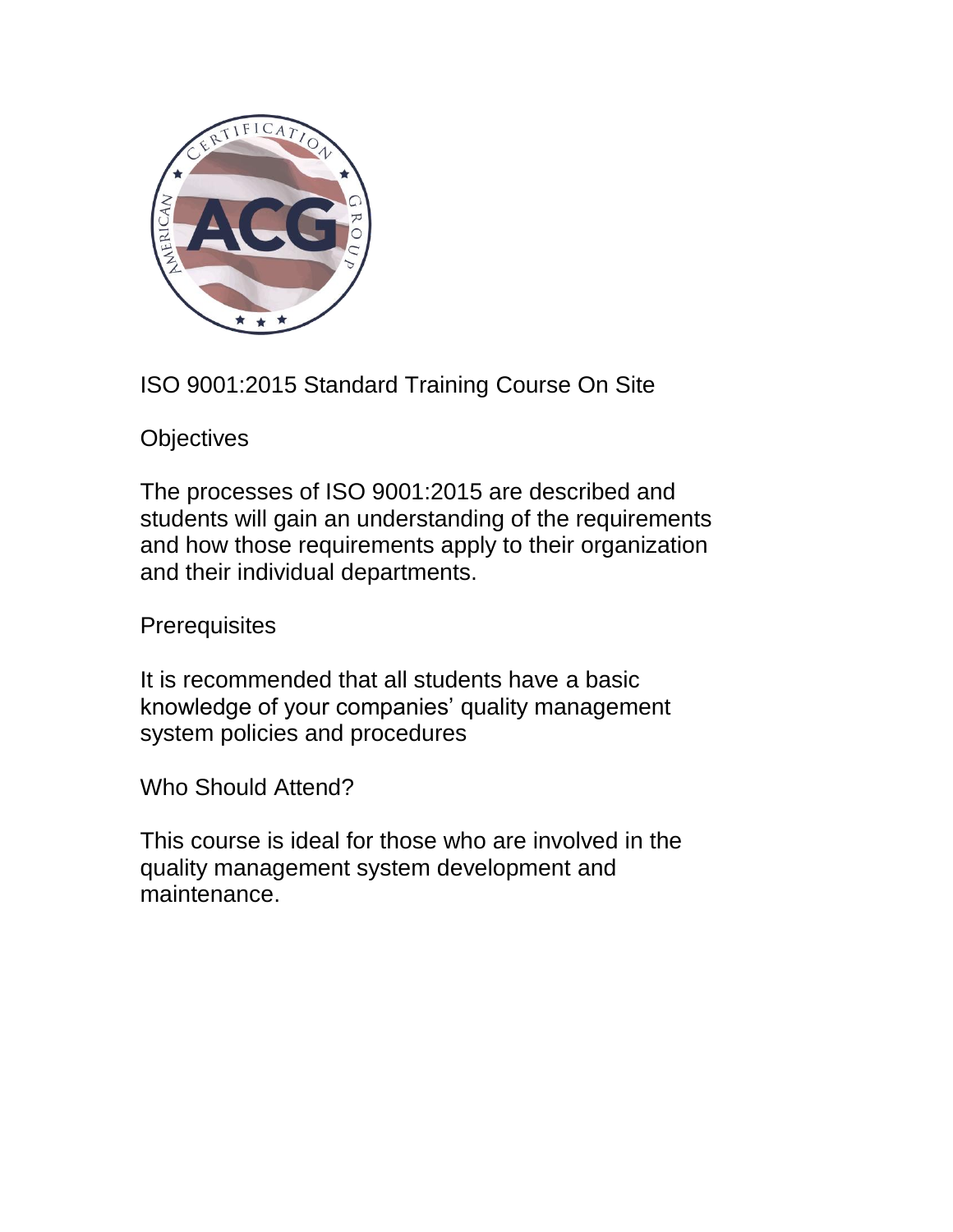

ISO 9001:2015 Standard Training Course On Site

**Objectives** 

The processes of ISO 9001:2015 are described and students will gain an understanding of the requirements and how those requirements apply to their organization and their individual departments.

**Prerequisites** 

It is recommended that all students have a basic knowledge of your companies' quality management system policies and procedures

Who Should Attend?

This course is ideal for those who are involved in the quality management system development and maintenance.